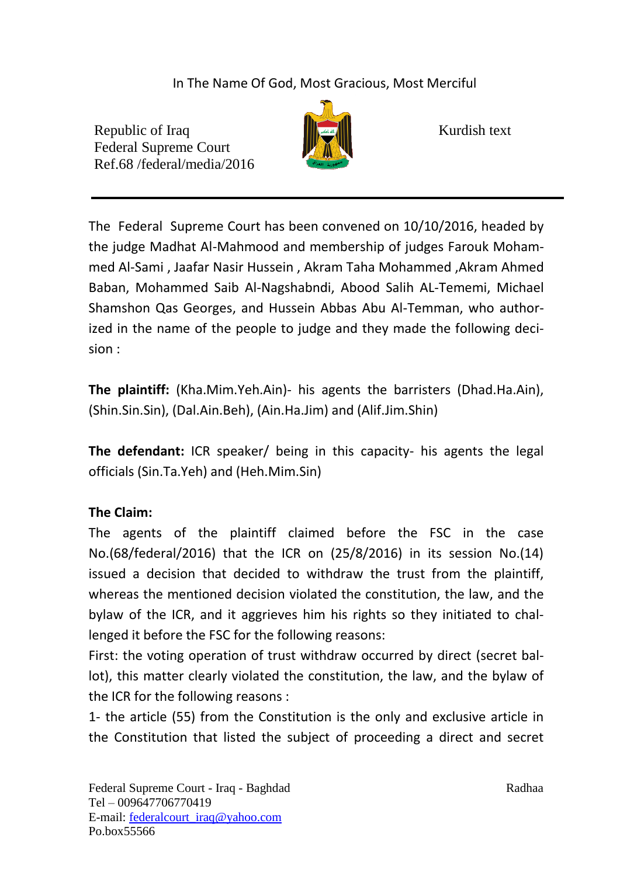In The Name Of God, Most Gracious, Most Merciful

Republic of Iraq  $\|\cdot\|$   $\|\cdot\|$  Kurdish text Federal Supreme Court Ref.68 /federal/media/2016



The Federal Supreme Court has been convened on 10/10/2016, headed by the judge Madhat Al-Mahmood and membership of judges Farouk Mohammed Al-Sami , Jaafar Nasir Hussein , Akram Taha Mohammed ,Akram Ahmed Baban, Mohammed Saib Al-Nagshabndi, Abood Salih AL-Tememi, Michael Shamshon Qas Georges, and Hussein Abbas Abu Al-Temman, who authorized in the name of the people to judge and they made the following decision :

**The plaintiff:** (Kha.Mim.Yeh.Ain)- his agents the barristers (Dhad.Ha.Ain), (Shin.Sin.Sin), (Dal.Ain.Beh), (Ain.Ha.Jim) and (Alif.Jim.Shin)

**The defendant:** ICR speaker/ being in this capacity- his agents the legal officials (Sin.Ta.Yeh) and (Heh.Mim.Sin)

## **The Claim:**

The agents of the plaintiff claimed before the FSC in the case No.(68/federal/2016) that the ICR on (25/8/2016) in its session No.(14) issued a decision that decided to withdraw the trust from the plaintiff, whereas the mentioned decision violated the constitution, the law, and the bylaw of the ICR, and it aggrieves him his rights so they initiated to challenged it before the FSC for the following reasons:

First: the voting operation of trust withdraw occurred by direct (secret ballot), this matter clearly violated the constitution, the law, and the bylaw of the ICR for the following reasons :

1- the article (55) from the Constitution is the only and exclusive article in the Constitution that listed the subject of proceeding a direct and secret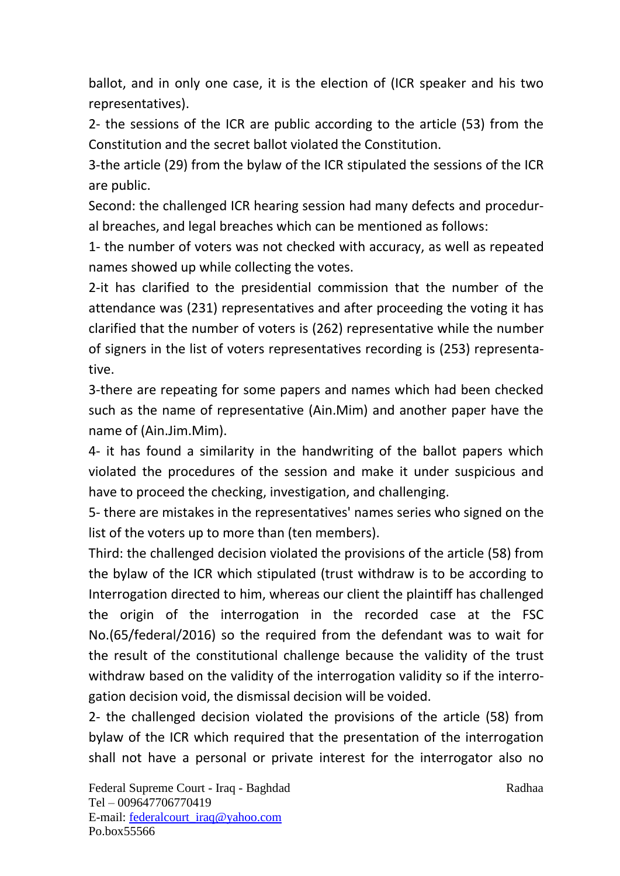ballot, and in only one case, it is the election of (ICR speaker and his two representatives).

2- the sessions of the ICR are public according to the article (53) from the Constitution and the secret ballot violated the Constitution.

3-the article (29) from the bylaw of the ICR stipulated the sessions of the ICR are public.

Second: the challenged ICR hearing session had many defects and procedural breaches, and legal breaches which can be mentioned as follows:

1- the number of voters was not checked with accuracy, as well as repeated names showed up while collecting the votes.

2-it has clarified to the presidential commission that the number of the attendance was (231) representatives and after proceeding the voting it has clarified that the number of voters is (262) representative while the number of signers in the list of voters representatives recording is (253) representative.

3-there are repeating for some papers and names which had been checked such as the name of representative (Ain.Mim) and another paper have the name of (Ain.Jim.Mim).

4- it has found a similarity in the handwriting of the ballot papers which violated the procedures of the session and make it under suspicious and have to proceed the checking, investigation, and challenging.

5- there are mistakes in the representatives' names series who signed on the list of the voters up to more than (ten members).

Third: the challenged decision violated the provisions of the article (58) from the bylaw of the ICR which stipulated (trust withdraw is to be according to Interrogation directed to him, whereas our client the plaintiff has challenged the origin of the interrogation in the recorded case at the FSC No.(65/federal/2016) so the required from the defendant was to wait for the result of the constitutional challenge because the validity of the trust withdraw based on the validity of the interrogation validity so if the interrogation decision void, the dismissal decision will be voided.

2- the challenged decision violated the provisions of the article (58) from bylaw of the ICR which required that the presentation of the interrogation shall not have a personal or private interest for the interrogator also no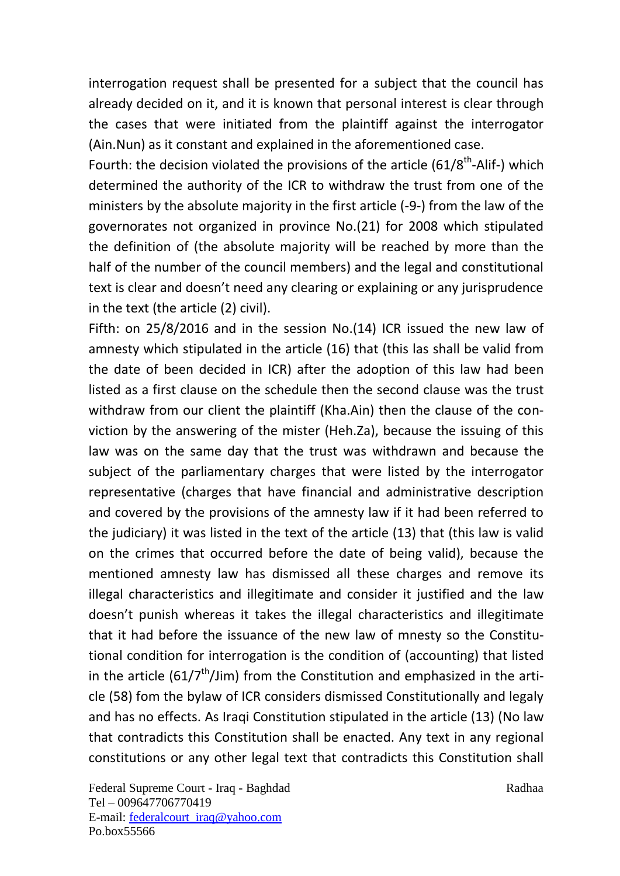interrogation request shall be presented for a subject that the council has already decided on it, and it is known that personal interest is clear through the cases that were initiated from the plaintiff against the interrogator (Ain.Nun) as it constant and explained in the aforementioned case.

Fourth: the decision violated the provisions of the article  $(61/8<sup>th</sup>-Alif-)$  which determined the authority of the ICR to withdraw the trust from one of the ministers by the absolute majority in the first article (-9-) from the law of the governorates not organized in province No.(21) for 2008 which stipulated the definition of (the absolute majority will be reached by more than the half of the number of the council members) and the legal and constitutional text is clear and doesn't need any clearing or explaining or any jurisprudence in the text (the article (2) civil).

Fifth: on 25/8/2016 and in the session No.(14) ICR issued the new law of amnesty which stipulated in the article (16) that (this las shall be valid from the date of been decided in ICR) after the adoption of this law had been listed as a first clause on the schedule then the second clause was the trust withdraw from our client the plaintiff (Kha.Ain) then the clause of the conviction by the answering of the mister (Heh.Za), because the issuing of this law was on the same day that the trust was withdrawn and because the subject of the parliamentary charges that were listed by the interrogator representative (charges that have financial and administrative description and covered by the provisions of the amnesty law if it had been referred to the judiciary) it was listed in the text of the article (13) that (this law is valid on the crimes that occurred before the date of being valid), because the mentioned amnesty law has dismissed all these charges and remove its illegal characteristics and illegitimate and consider it justified and the law doesn't punish whereas it takes the illegal characteristics and illegitimate that it had before the issuance of the new law of mnesty so the Constitutional condition for interrogation is the condition of (accounting) that listed in the article  $(61/7<sup>th</sup>/Jim)$  from the Constitution and emphasized in the article (58) fom the bylaw of ICR considers dismissed Constitutionally and legaly and has no effects. As Iraqi Constitution stipulated in the article (13) (No law that contradicts this Constitution shall be enacted. Any text in any regional constitutions or any other legal text that contradicts this Constitution shall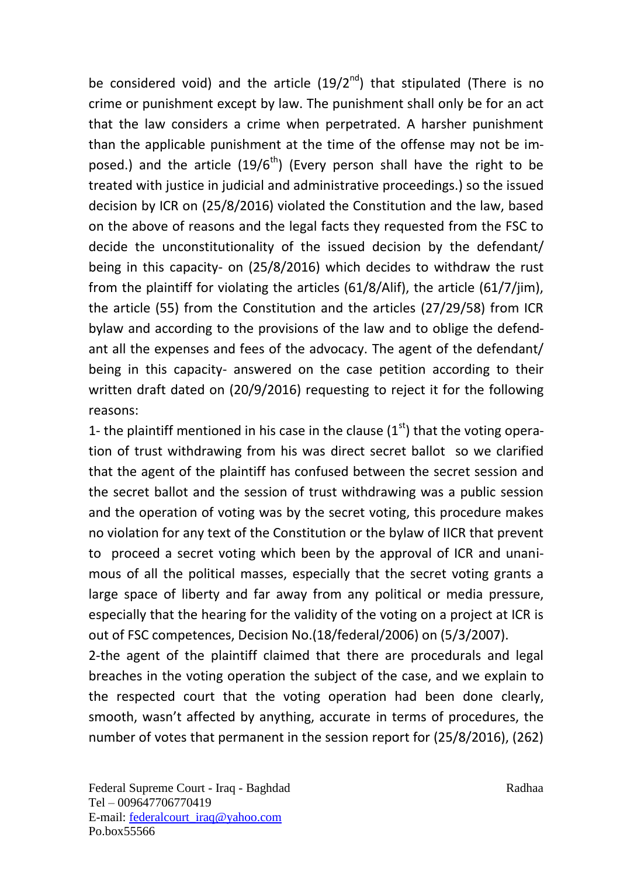be considered void) and the article  $(19/2<sup>nd</sup>)$  that stipulated (There is no crime or punishment except by law. The punishment shall only be for an act that the law considers a crime when perpetrated. A harsher punishment than the applicable punishment at the time of the offense may not be imposed.) and the article  $(19/6<sup>th</sup>)$  (Every person shall have the right to be treated with justice in judicial and administrative proceedings.) so the issued decision by ICR on (25/8/2016) violated the Constitution and the law, based on the above of reasons and the legal facts they requested from the FSC to decide the unconstitutionality of the issued decision by the defendant/ being in this capacity- on (25/8/2016) which decides to withdraw the rust from the plaintiff for violating the articles (61/8/Alif), the article (61/7/jim), the article (55) from the Constitution and the articles (27/29/58) from ICR bylaw and according to the provisions of the law and to oblige the defendant all the expenses and fees of the advocacy. The agent of the defendant/ being in this capacity- answered on the case petition according to their written draft dated on (20/9/2016) requesting to reject it for the following reasons:

1- the plaintiff mentioned in his case in the clause  $(1<sup>st</sup>)$  that the voting operation of trust withdrawing from his was direct secret ballot so we clarified that the agent of the plaintiff has confused between the secret session and the secret ballot and the session of trust withdrawing was a public session and the operation of voting was by the secret voting, this procedure makes no violation for any text of the Constitution or the bylaw of IICR that prevent to proceed a secret voting which been by the approval of ICR and unanimous of all the political masses, especially that the secret voting grants a large space of liberty and far away from any political or media pressure, especially that the hearing for the validity of the voting on a project at ICR is out of FSC competences, Decision No.(18/federal/2006) on (5/3/2007).

2-the agent of the plaintiff claimed that there are procedurals and legal breaches in the voting operation the subject of the case, and we explain to the respected court that the voting operation had been done clearly, smooth, wasn't affected by anything, accurate in terms of procedures, the number of votes that permanent in the session report for (25/8/2016), (262)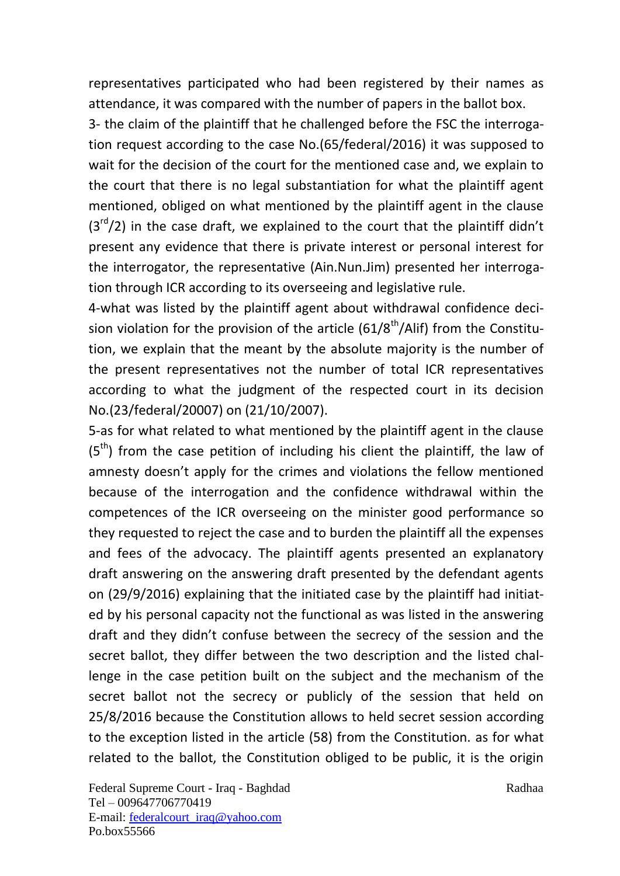representatives participated who had been registered by their names as attendance, it was compared with the number of papers in the ballot box.

3- the claim of the plaintiff that he challenged before the FSC the interrogation request according to the case No.(65/federal/2016) it was supposed to wait for the decision of the court for the mentioned case and, we explain to the court that there is no legal substantiation for what the plaintiff agent mentioned, obliged on what mentioned by the plaintiff agent in the clause  $(3<sup>rd</sup>/2)$  in the case draft, we explained to the court that the plaintiff didn't present any evidence that there is private interest or personal interest for the interrogator, the representative (Ain.Nun.Jim) presented her interrogation through ICR according to its overseeing and legislative rule.

4-what was listed by the plaintiff agent about withdrawal confidence decision violation for the provision of the article  $(61/8<sup>th</sup>/Alif)$  from the Constitution, we explain that the meant by the absolute majority is the number of the present representatives not the number of total ICR representatives according to what the judgment of the respected court in its decision No.(23/federal/20007) on (21/10/2007).

5-as for what related to what mentioned by the plaintiff agent in the clause  $(5<sup>th</sup>)$  from the case petition of including his client the plaintiff, the law of amnesty doesn't apply for the crimes and violations the fellow mentioned because of the interrogation and the confidence withdrawal within the competences of the ICR overseeing on the minister good performance so they requested to reject the case and to burden the plaintiff all the expenses and fees of the advocacy. The plaintiff agents presented an explanatory draft answering on the answering draft presented by the defendant agents on (29/9/2016) explaining that the initiated case by the plaintiff had initiated by his personal capacity not the functional as was listed in the answering draft and they didn't confuse between the secrecy of the session and the secret ballot, they differ between the two description and the listed challenge in the case petition built on the subject and the mechanism of the secret ballot not the secrecy or publicly of the session that held on 25/8/2016 because the Constitution allows to held secret session according to the exception listed in the article (58) from the Constitution. as for what related to the ballot, the Constitution obliged to be public, it is the origin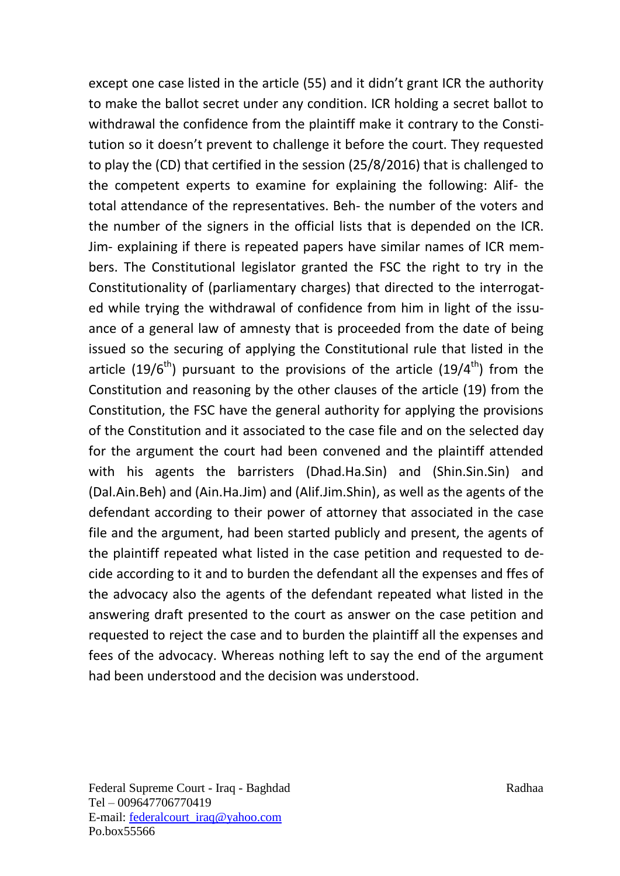except one case listed in the article (55) and it didn't grant ICR the authority to make the ballot secret under any condition. ICR holding a secret ballot to withdrawal the confidence from the plaintiff make it contrary to the Constitution so it doesn't prevent to challenge it before the court. They requested to play the (CD) that certified in the session (25/8/2016) that is challenged to the competent experts to examine for explaining the following: Alif- the total attendance of the representatives. Beh- the number of the voters and the number of the signers in the official lists that is depended on the ICR. Jim- explaining if there is repeated papers have similar names of ICR members. The Constitutional legislator granted the FSC the right to try in the Constitutionality of (parliamentary charges) that directed to the interrogated while trying the withdrawal of confidence from him in light of the issuance of a general law of amnesty that is proceeded from the date of being issued so the securing of applying the Constitutional rule that listed in the article (19/6<sup>th</sup>) pursuant to the provisions of the article (19/4<sup>th</sup>) from the Constitution and reasoning by the other clauses of the article (19) from the Constitution, the FSC have the general authority for applying the provisions of the Constitution and it associated to the case file and on the selected day for the argument the court had been convened and the plaintiff attended with his agents the barristers (Dhad.Ha.Sin) and (Shin.Sin.Sin) and (Dal.Ain.Beh) and (Ain.Ha.Jim) and (Alif.Jim.Shin), as well as the agents of the defendant according to their power of attorney that associated in the case file and the argument, had been started publicly and present, the agents of the plaintiff repeated what listed in the case petition and requested to decide according to it and to burden the defendant all the expenses and ffes of the advocacy also the agents of the defendant repeated what listed in the answering draft presented to the court as answer on the case petition and requested to reject the case and to burden the plaintiff all the expenses and fees of the advocacy. Whereas nothing left to say the end of the argument had been understood and the decision was understood.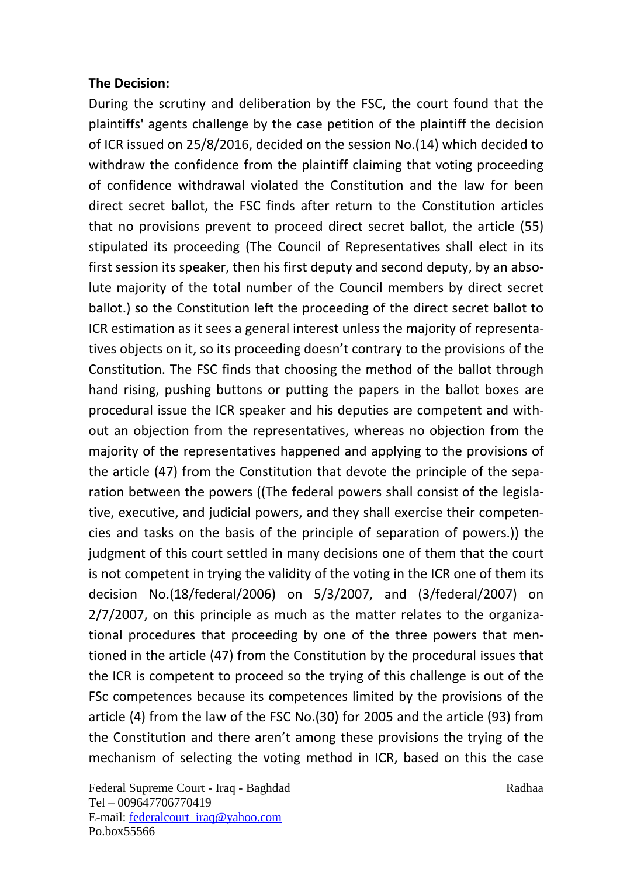## **The Decision:**

During the scrutiny and deliberation by the FSC, the court found that the plaintiffs' agents challenge by the case petition of the plaintiff the decision of ICR issued on 25/8/2016, decided on the session No.(14) which decided to withdraw the confidence from the plaintiff claiming that voting proceeding of confidence withdrawal violated the Constitution and the law for been direct secret ballot, the FSC finds after return to the Constitution articles that no provisions prevent to proceed direct secret ballot, the article (55) stipulated its proceeding (The Council of Representatives shall elect in its first session its speaker, then his first deputy and second deputy, by an absolute majority of the total number of the Council members by direct secret ballot.) so the Constitution left the proceeding of the direct secret ballot to ICR estimation as it sees a general interest unless the majority of representatives objects on it, so its proceeding doesn't contrary to the provisions of the Constitution. The FSC finds that choosing the method of the ballot through hand rising, pushing buttons or putting the papers in the ballot boxes are procedural issue the ICR speaker and his deputies are competent and without an objection from the representatives, whereas no objection from the majority of the representatives happened and applying to the provisions of the article (47) from the Constitution that devote the principle of the separation between the powers ((The federal powers shall consist of the legislative, executive, and judicial powers, and they shall exercise their competencies and tasks on the basis of the principle of separation of powers.)) the judgment of this court settled in many decisions one of them that the court is not competent in trying the validity of the voting in the ICR one of them its decision No.(18/federal/2006) on 5/3/2007, and (3/federal/2007) on 2/7/2007, on this principle as much as the matter relates to the organizational procedures that proceeding by one of the three powers that mentioned in the article (47) from the Constitution by the procedural issues that the ICR is competent to proceed so the trying of this challenge is out of the FSc competences because its competences limited by the provisions of the article (4) from the law of the FSC No.(30) for 2005 and the article (93) from the Constitution and there aren't among these provisions the trying of the mechanism of selecting the voting method in ICR, based on this the case